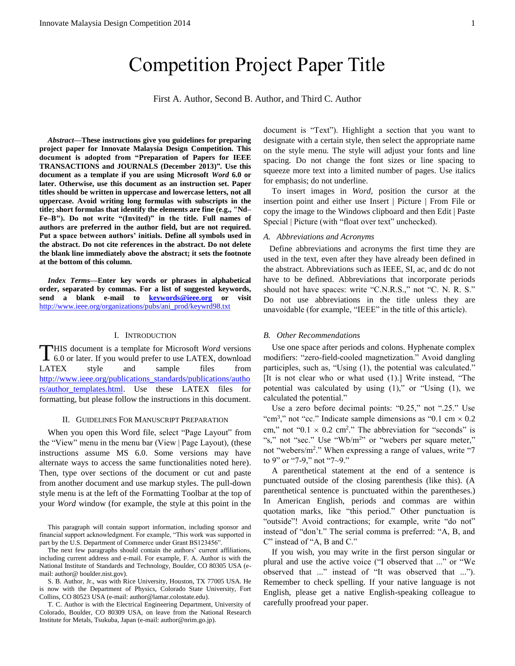# Competition Project Paper Title

First A. Author, Second B. Author, and Third C. Author

*Abstract***—These instructions give you guidelines for preparing project paper for Innovate Malaysia Design Competition. This document is adopted from "Preparation of Papers for IEEE TRANSACTIONS and JOURNALS (December 2013)"***.* **Use this document as a template if you are using Microsoft** *Word* **6.0 or later. Otherwise, use this document as an instruction set. Paper titles should be written in uppercase and lowercase letters, not all uppercase. Avoid writing long formulas with subscripts in the title; short formulas that identify the elements are fine (e.g., "Nd– Fe–B"). Do not write "(Invited)" in the title. Full names of authors are preferred in the author field, but are not required. Put a space between authors' initials. Define all symbols used in the abstract. Do not cite references in the abstract. Do not delete the blank line immediately above the abstract; it sets the footnote at the bottom of this column.**

*Index Terms***—Enter key words or phrases in alphabetical order, separated by commas. For a list of suggested keywords, send a blank e-mail to [keywords@ieee.org](mailto:keywords@ieee.org) or visit**  [http://www.ieee.org/organizations/pubs/ani\\_prod/keywrd98.txt](http://www.ieee.org/organizations/pubs/ani_prod/keywrd98.txt)

# I. INTRODUCTION

**THIS** document is a template for Microsoft *Word* versions 6.0 or later. If you would prefer to use LATEX, download LATEX style and sample files from [http://www.ieee.org/publications\\_standards/publications/autho](http://www.ieee.org/publications_standards/publications/authors/author_templates.html) [rs/author\\_templates.html.](http://www.ieee.org/publications_standards/publications/authors/author_templates.html) Use these LATEX files for formatting, but please follow the instructions in this document. T

## II. GUIDELINES FOR MANUSCRIPT PREPARATION

When you open this Word file, select "Page Layout" from the "View" menu in the menu bar (View | Page Layout), (these instructions assume MS 6.0. Some versions may have alternate ways to access the same functionalities noted here). Then, type over sections of the document or cut and paste from another document and use markup styles. The pull-down style menu is at the left of the Formatting Toolbar at the top of your *Word* window (for example, the style at this point in the

This paragraph will contain support information, including sponsor and financial support acknowledgment. For example, "This work was supported in part by the U.S. Department of Commerce under Grant BS123456".

The next few paragraphs should contain the authors' current affiliations, including current address and e-mail. For example, F. A. Author is with the National Institute of Standards and Technology, Boulder, CO 80305 USA (email: author@ boulder.nist.gov).

S. B. Author, Jr., was with Rice University, Houston, TX 77005 USA. He is now with the Department of Physics, Colorado State University, Fort Collins, CO 80523 USA (e-mail: author@lamar.colostate.edu).

T. C. Author is with the Electrical Engineering Department, University of Colorado, Boulder, CO 80309 USA, on leave from the National Research Institute for Metals, Tsukuba, Japan (e-mail: author@nrim.go.jp).

document is "Text"). Highlight a section that you want to designate with a certain style, then select the appropriate name on the style menu. The style will adjust your fonts and line spacing. Do not change the font sizes or line spacing to squeeze more text into a limited number of pages. Use italics for emphasis; do not underline.

To insert images in *Word,* position the cursor at the insertion point and either use Insert | Picture | From File or copy the image to the Windows clipboard and then Edit | Paste Special | Picture (with "float over text" unchecked).

#### *A. Abbreviations and Acronyms*

Define abbreviations and acronyms the first time they are used in the text, even after they have already been defined in the abstract. Abbreviations such as IEEE, SI, ac, and dc do not have to be defined. Abbreviations that incorporate periods should not have spaces: write "C.N.R.S.," not "C. N. R. S." Do not use abbreviations in the title unless they are unavoidable (for example, "IEEE" in the title of this article).

# *B. Other Recommendations*

Use one space after periods and colons. Hyphenate complex modifiers: "zero-field-cooled magnetization." Avoid dangling participles, such as, "Using (1), the potential was calculated." [It is not clear who or what used (1).] Write instead, "The potential was calculated by using  $(1)$ ," or "Using  $(1)$ , we calculated the potential."

Use a zero before decimal points: "0.25," not ".25." Use "cm<sup>3</sup>," not "cc." Indicate sample dimensions as "0.1 cm  $\times$  0.2 cm," not " $0.1 \times 0.2$  cm<sup>2</sup>." The abbreviation for "seconds" is "s," not "sec." Use "Wb/m<sup>2</sup>" or "webers per square meter," not "webers/m<sup>2</sup> ." When expressing a range of values, write "7 to 9" or "7-9," not "7~9."

A parenthetical statement at the end of a sentence is punctuated outside of the closing parenthesis (like this). (A parenthetical sentence is punctuated within the parentheses.) In American English, periods and commas are within quotation marks, like "this period." Other punctuation is "outside"! Avoid contractions; for example, write "do not" instead of "don't." The serial comma is preferred: "A, B, and C" instead of "A, B and C."

If you wish, you may write in the first person singular or plural and use the active voice ("I observed that ..." or "We observed that ..." instead of "It was observed that ..."). Remember to check spelling. If your native language is not English, please get a native English-speaking colleague to carefully proofread your paper.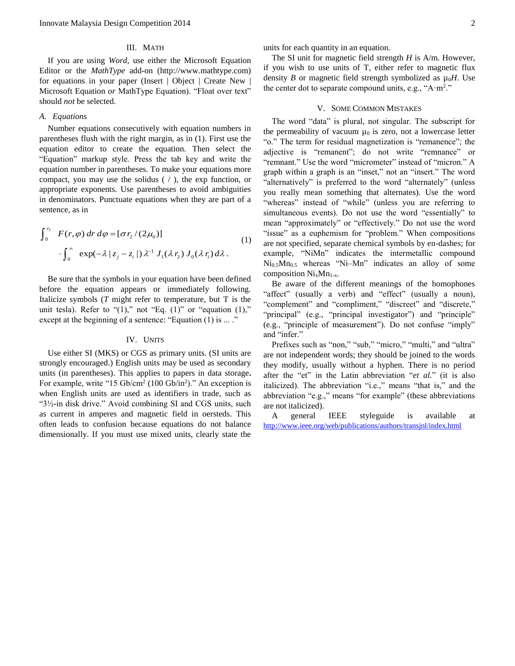# III. MATH

If you are using *Word,* use either the Microsoft Equation Editor or the *MathType* add-on (http://www.mathtype.com) for equations in your paper (Insert | Object | Create New | Microsoft Equation *or* MathType Equation). "Float over text" should *not* be selected.

## *A. Equations*

Number equations consecutively with equation numbers in parentheses flush with the right margin, as in (1). First use the equation editor to create the equation. Then select the "Equation" markup style. Press the tab key and write the equation number in parentheses. To make your equations more compact, you may use the solidus ( / ), the exp function, or appropriate exponents. Use parentheses to avoid ambiguities in denominators. Punctuate equations when they are part of a sentence, as in

$$
\int_0^{r_2} F(r,\varphi) dr d\varphi = [\sigma r_2 / (2\mu_0)]
$$
  

$$
\int_0^{\infty} \exp(-\lambda |z_j - z_i|) \lambda^{-1} J_1(\lambda r_2) J_0(\lambda r_i) d\lambda.
$$
 (1)

Be sure that the symbols in your equation have been defined before the equation appears or immediately following. Italicize symbols (*T* might refer to temperature, but T is the unit tesla). Refer to " $(1)$ ," not "Eq.  $(1)$ " or "equation  $(1)$ ," except at the beginning of a sentence: "Equation (1) is ... ."

#### IV. UNITS

Use either SI (MKS) or CGS as primary units. (SI units are strongly encouraged.) English units may be used as secondary units (in parentheses). This applies to papers in data storage**.** For example, write "15  $Gb/cm^2$  (100  $Gb/in^2$ )." An exception is when English units are used as identifiers in trade, such as "3½-in disk drive." Avoid combining SI and CGS units, such as current in amperes and magnetic field in oersteds. This often leads to confusion because equations do not balance dimensionally. If you must use mixed units, clearly state the

units for each quantity in an equation.

The SI unit for magnetic field strength *H* is A/m. However, if you wish to use units of T, either refer to magnetic flux density *B* or magnetic field strength symbolized as  $\mu_0H$ . Use the center dot to separate compound units, e.g., " $A \cdot m^2$ ."

#### V. SOME COMMON MISTAKES

The word "data" is plural, not singular. The subscript for the permeability of vacuum  $\mu_0$  is zero, not a lowercase letter "o." The term for residual magnetization is "remanence"; the adjective is "remanent"; do not write "remnance" or "remnant." Use the word "micrometer" instead of "micron." A graph within a graph is an "inset," not an "insert." The word "alternatively" is preferred to the word "alternately" (unless you really mean something that alternates). Use the word "whereas" instead of "while" (unless you are referring to simultaneous events). Do not use the word "essentially" to mean "approximately" or "effectively." Do not use the word "issue" as a euphemism for "problem." When compositions are not specified, separate chemical symbols by en-dashes; for example, "NiMn" indicates the intermetallic compound Ni0.5Mn0.5 whereas "Ni–Mn" indicates an alloy of some composition  $N_{1x}M_{1-x}$ .

Be aware of the different meanings of the homophones "affect" (usually a verb) and "effect" (usually a noun), "complement" and "compliment," "discreet" and "discrete," "principal" (e.g., "principal investigator") and "principle" (e.g., "principle of measurement"). Do not confuse "imply" and "infer."

Prefixes such as "non," "sub," "micro," "multi," and "ultra" are not independent words; they should be joined to the words they modify, usually without a hyphen. There is no period after the "et" in the Latin abbreviation "*et al.*" (it is also italicized). The abbreviation "i.e.," means "that is," and the abbreviation "e.g.," means "for example" (these abbreviations are not italicized).

A general IEEE styleguide is available at <http://www.ieee.org/web/publications/authors/transjnl/index.html>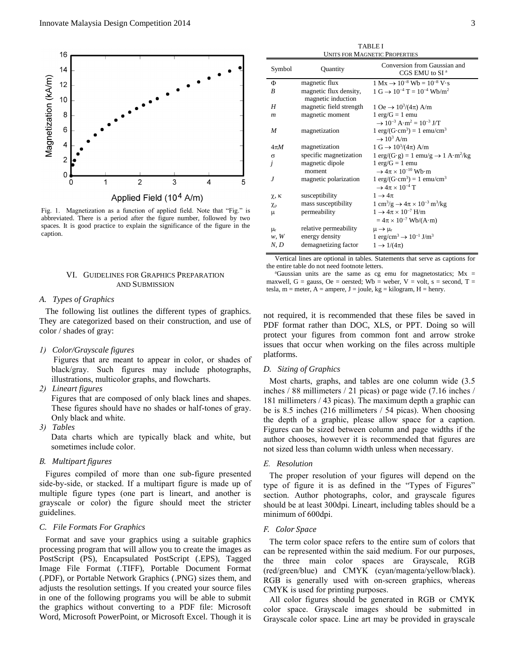

Fig. 1. Magnetization as a function of applied field. Note that "Fig." is abbreviated. There is a period after the figure number, followed by two spaces. It is good practice to explain the significance of the figure in the caption.

## VI. GUIDELINES FOR GRAPHICS PREPARATION AND SUBMISSION

# *A. Types of Graphics*

The following list outlines the different types of graphics. They are categorized based on their construction, and use of color / shades of gray:

*1) Color/Grayscale figures*

*Figures that are meant to appear in color, or shades of black/gray. Such figures may include photographs, illustrations, multicolor graphs, and flowcharts.*

*2) Lineart figures*

*Figures that are composed of only black lines and shapes. These figures should have no shades or half-tones of gray. Only black and white.*

*3) Tables*

*Data charts which are typically black and white, but sometimes include color.*

*B. Multipart figures*

*Figures compiled of more than one sub-figure presented side-by-side, or stacked. If a multipart figure is made up of*  multiple figure types (one part is lineart, and another is *grayscale or color) the figure should meet the stricter guidelines.*

## *C. File Formats For Graphics*

Format and save your graphics using a suitable graphics processing program that will allow you to create the images as PostScript (PS), Encapsulated PostScript (.EPS), Tagged Image File Format (.TIFF), Portable Document Format (.PDF), or Portable Network Graphics (.PNG) sizes them, and adjusts the resolution settings. If you created your source files in one of the following programs you will be able to submit the graphics without converting to a PDF file: Microsoft Word, Microsoft PowerPoint, or Microsoft Excel. Though it is

| <b>UNITS FOR MAGNETIC PROPERTIES</b> |                                              |                                                                                                             |
|--------------------------------------|----------------------------------------------|-------------------------------------------------------------------------------------------------------------|
| Symbol                               | Quantity                                     | Conversion from Gaussian and<br>CGS EMU to SI <sup>a</sup>                                                  |
| Ф                                    | magnetic flux                                | $1 \text{ Mx} \rightarrow 10^{-8} \text{ Wb} = 10^{-8} \text{ V} \cdot \text{s}$                            |
| B                                    | magnetic flux density,<br>magnetic induction | $1 \text{ G} \rightarrow 10^{-4} \text{ T} = 10^{-4} \text{ Wb/m}^2$                                        |
| Н                                    | magnetic field strength                      | $1 \text{ Oe} \rightarrow 10^{3}/(4\pi) \text{ A/m}$                                                        |
| m                                    | magnetic moment                              | $1 \text{ erg/G} = 1 \text{ emu}$<br>$\rightarrow$ 10 <sup>-3</sup> A·m <sup>2</sup> = 10 <sup>-3</sup> J/T |
| M                                    | magnetization                                | $1 \text{ erg/(G·cm}^3) = 1 \text{ emu/cm}^3$<br>$\rightarrow 10^3$ A/m                                     |
| $4\pi M$                             | magnetization                                | $1 \text{ G} \rightarrow 10^{3}/(4\pi) \text{ A/m}$                                                         |
| σ                                    | specific magnetization                       | $1 \text{ erg/(G·g)} = 1 \text{ emu/g} \rightarrow 1 \text{ A·m}^2/\text{kg}$                               |
| $\dot{i}$                            | magnetic dipole<br>moment                    | $1 \text{ erg/G} = 1 \text{ emu}$<br>$\rightarrow$ 4 $\pi \times 10^{-10}$ Wh·m                             |
| J                                    | magnetic polarization                        | $1 \text{ erg/(G·cm}^3) = 1 \text{ emu/cm}^3$<br>$\rightarrow$ 4 $\pi \times 10^{-4}$ T                     |
| χ, κ                                 | susceptibility                               | $1 \rightarrow 4\pi$                                                                                        |
| $\chi_{\rho}$                        | mass susceptibility                          | $1 \text{ cm}^3\text{/g} \rightarrow 4\pi \times 10^{-3} \text{ m}^3\text{/kg}$                             |
| μ                                    | permeability                                 | $1 \rightarrow 4\pi \times 10^{-7}$ H/m<br>$= 4\pi \times 10^{-7}$ Wb/(A·m)                                 |
| $\mu_{\rm r}$                        | relative permeability                        | $\mu \rightarrow \mu_r$                                                                                     |
| w, W                                 | energy density                               | 1 erg/cm <sup>3</sup> $\rightarrow$ 10 <sup>-1</sup> J/m <sup>3</sup>                                       |
| N, D                                 | demagnetizing factor                         | $1 \rightarrow 1/(4\pi)$                                                                                    |

TABLE I

Vertical lines are optional in tables. Statements that serve as captions for the entire table do not need footnote letters.

<sup>a</sup>Gaussian units are the same as cg emu for magnetostatics;  $Mx =$ maxwell,  $G =$  gauss,  $Oe =$  oersted;  $Wb =$  weber,  $V =$  volt,  $s =$  second,  $T =$ tesla, m = meter,  $A =$  ampere,  $J =$  joule,  $kg =$  kilogram,  $H =$  henry.

not required, it is recommended that these files be saved in PDF format rather than DOC, XLS, or PPT. Doing so will protect your figures from common font and arrow stroke issues that occur when working on the files across multiple platforms.

# *D. Sizing of Graphics*

*Most charts, graphs, and tables are one column wide (3.5 inches / 88 millimeters / 21 picas) or page wide (7.16 inches / 181 millimeters / 43 picas). The maximum depth a graphic can be is 8.5 inches (216 millimeters / 54 picas). When choosing the depth of a graphic, please allow space for a caption. Figures can be sized between column and page widths if the author chooses, however it is recommended that figures are not sized less than column width unless when necessary.* 

#### *E. Resolution*

*The proper resolution of your figures will depend on the type of figure it is as defined in the "Types of Figures" section. Author photographs, color, and grayscale figures should be at least 300dpi. Lineart, including tables should be a minimum of 600dpi.*

#### *F. Color Space*

*The term color space refers to the entire sum of colors that can be represented within the said medium. For our purposes, the three main color spaces are Grayscale, RGB (red/green/blue) and CMYK (cyan/magenta/yellow/black). RGB is generally used with on-screen graphics, whereas CMYK is used for printing purposes.*

*All color figures should be generated in RGB or CMYK color space. Grayscale images should be submitted in Grayscale color space. Line art may be provided in grayscale*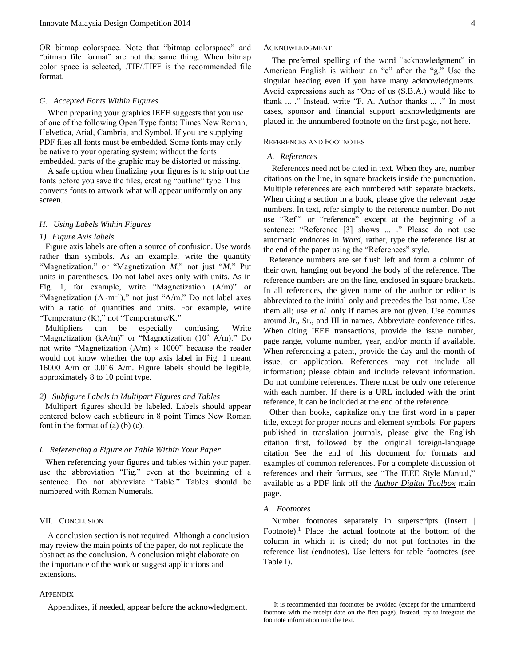*OR bitmap colorspace. Note that "bitmap colorspace" and "bitmap file format" are not the same thing. When bitmap color space is selected, .TIF/.TIFF is the recommended file format.*

## *G. Accepted Fonts Within Figures*

*When preparing your graphics IEEE suggests that you use of one of the following Open Type fonts: Times New Roman, Helvetica, Arial, Cambria, and Symbol. If you are supplying PDF files all fonts must be embedded. Some fonts may only be native to your operating system; without the fonts embedded, parts of the graphic may be distorted or missing.*

A safe option when finalizing your figures is to strip out the fonts before you save the files, creating "outline" type. This converts fonts to artwork what will appear uniformly on any screen.

## *H. Using Labels Within Figures*

#### *1) Figure Axis labels*

Figure axis labels are often a source of confusion. Use words rather than symbols. As an example, write the quantity "Magnetization," or "Magnetization *M*," not just "*M*." Put units in parentheses. Do not label axes only with units. As in Fig. 1, for example, write "Magnetization (A/m)" or "Magnetization  $(A \cdot m^{-1})$ ," not just "A/m." Do not label axes with a ratio of quantities and units. For example, write "Temperature (K)," not "Temperature/K."

Multipliers can be especially confusing. Write "Magnetization (kA/m)" or "Magnetization (10<sup>3</sup> A/m)." Do not write "Magnetization  $(A/m) \times 1000$ " because the reader would not know whether the top axis label in Fig. 1 meant 16000 A/m or 0.016 A/m. Figure labels should be legible, approximately 8 to 10 point type.

# *2) Subfigure Labels in Multipart Figures and Tables*

*Multipart figures should be labeled. Labels should appear centered below each subfigure in 8 point Times New Roman font in the format of (a) (b) (c).* 

#### *I. Referencing a Figure or Table Within Your Paper*

*When referencing your figures and tables within your paper, use the abbreviation "Fig." even at the beginning of a sentence. Do not abbreviate "Table." Tables should be numbered with Roman Numerals.*

#### VII. CONCLUSION

A conclusion section is not required. Although a conclusion may review the main points of the paper, do not replicate the abstract as the conclusion. A conclusion might elaborate on the importance of the work or suggest applications and extensions.

#### **APPENDIX**

Appendixes, if needed, appear before the acknowledgment.

#### ACKNOWLEDGMENT

The preferred spelling of the word "acknowledgment" in American English is without an "e" after the "g." Use the singular heading even if you have many acknowledgments. Avoid expressions such as "One of us (S.B.A.) would like to thank ... ." Instead, write "F. A. Author thanks ... ." In most cases, sponsor and financial support acknowledgments are placed in the unnumbered footnote on the first page, not here.

## REFERENCES AND FOOTNOTES

#### *A. References*

References need not be cited in text. When they are, number citations on the line, in square brackets inside the punctuation. Multiple references are each numbered with separate brackets. When citing a section in a book, please give the relevant page numbers. In text, refer simply to the reference number. Do not use "Ref." or "reference" except at the beginning of a sentence: "Reference [3] shows ... ." Please do not use automatic endnotes in *Word*, rather, type the reference list at the end of the paper using the "References" style.

Reference numbers are set flush left and form a column of their own, hanging out beyond the body of the reference. The reference numbers are on the line, enclosed in square brackets. In all references, the given name of the author or editor is abbreviated to the initial only and precedes the last name. Use them all; use *et al*. only if names are not given. Use commas around Jr., Sr., and III in names. Abbreviate conference titles. When citing IEEE transactions, provide the issue number, page range, volume number, year, and/or month if available. When referencing a patent, provide the day and the month of issue, or application. References may not include all information; please obtain and include relevant information. Do not combine references. There must be only one reference with each number. If there is a URL included with the print reference, it can be included at the end of the reference.

Other than books, capitalize only the first word in a paper title, except for proper nouns and element symbols. For papers published in translation journals, please give the English citation first, followed by the original foreign-language citation See the end of this document for formats and examples of common references. For a complete discussion of references and their formats, see "The IEEE Style Manual," available as a PDF link off the *Author Digital Toolbox* main page.

# *A. Footnotes*

Number footnotes separately in superscripts (Insert | Footnote).<sup>1</sup> Place the actual footnote at the bottom of the column in which it is cited; do not put footnotes in the reference list (endnotes). Use letters for table footnotes (see Table I).

<sup>&</sup>lt;sup>1</sup>It is recommended that footnotes be avoided (except for the unnumbered footnote with the receipt date on the first page). Instead, try to integrate the footnote information into the text.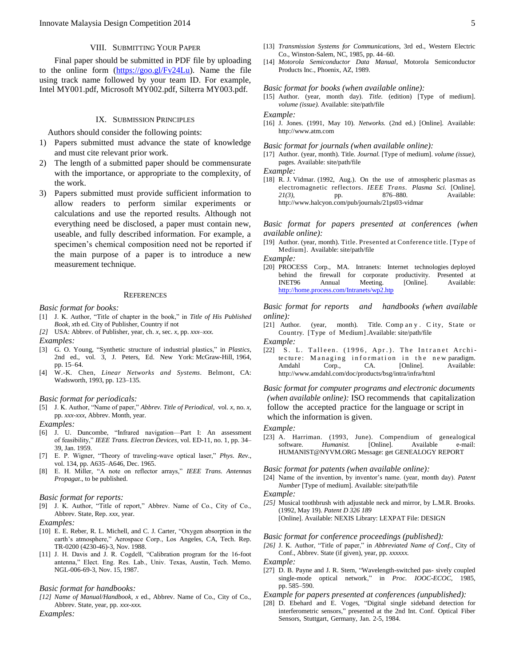# VIII. SUBMITTING YOUR PAPER

Final paper should be submitted in PDF file by uploading to the online form [\(https://goo.gl/Fv24Lu\)](https://goo.gl/Fv24Lu). Name the file using track name followed by your team ID. For example, Intel MY001.pdf, Microsoft MY002.pdf, Silterra MY003.pdf.

#### IX. SUBMISSION PRINCIPLES

Authors should consider the following points:

- 1) Papers submitted must advance the state of knowledge and must cite relevant prior work.
- 2) The length of a submitted paper should be commensurate with the importance, or appropriate to the complexity, of the work.
- 3) Papers submitted must provide sufficient information to allow readers to perform similar experiments or calculations and use the reported results. Although not everything need be disclosed, a paper must contain new, useable, and fully described information. For example, a specimen's chemical composition need not be reported if the main purpose of a paper is to introduce a new measurement technique.

## **REFERENCES**

*Basic format for books:*

- [1] J. K. Author, "Title of chapter in the book," in *Title of His Published Book, x*th ed. City of Publisher, Country if not
- *[2]* USA: Abbrev. of Publisher, year, ch. *x*, sec. *x*, pp. *xxx–xxx.*
- *Examples:*
- [3] G. O. Young, "Synthetic structure of industrial plastics," in *Plastics,*  2nd ed., vol. 3, J. Peters, Ed. New York: McGraw-Hill, 1964, pp. 15–64.
- [4] W.-K. Chen, *Linear Networks and Systems.* Belmont, CA: Wadsworth, 1993, pp. 123–135.

#### *Basic format for periodicals:*

[5] J. K. Author, "Name of paper," *Abbrev. Title of Periodical*, vol. *x,* no. *x,*  pp*. xxx-xxx,* Abbrev. Month, year.

*Examples:*

- [6] J. U. Duncombe, "Infrared navigation—Part I: An assessment of feasibility," *IEEE Trans. Electron Devices*, vol. ED-11, no. 1, pp. 34– 39, Jan. 1959.
- [7] E. P. Wigner, "Theory of traveling-wave optical laser," *Phys. Rev*., vol. 134, pp. A635–A646, Dec. 1965.
- [8] E. H. Miller, "A note on reflector arrays," *IEEE Trans. Antennas Propagat*., to be published.

#### *Basic format for reports:*

[9] J. K. Author, "Title of report," Abbrev. Name of Co., City of Co., Abbrev. State, Rep. *xxx*, year.

#### *Examples:*

- [10] E. E. Reber, R. L. Michell, and C. J. Carter, "Oxygen absorption in the earth's atmosphere," Aerospace Corp., Los Angeles, CA, Tech. Rep. TR-0200 (4230-46)-3, Nov. 1988.
- [11] J. H. Davis and J. R. Cogdell, "Calibration program for the 16-foot antenna," Elect. Eng. Res. Lab., Univ. Texas, Austin, Tech. Memo. NGL-006-69-3, Nov. 15, 1987.

#### *Basic format for handbooks:*

*[12] Name of Manual/Handbook*, *x* ed., Abbrev. Name of Co., City of Co., Abbrev. State, year, pp. *xxx-xxx.*

*Examples:*

- [13] *Transmission Systems for Communications*, 3rd ed., Western Electric Co., Winston-Salem, NC, 1985, pp. 44–60.
- [14] *Motorola Semiconductor Data Manual*, Motorola Semiconductor Products Inc., Phoenix, AZ, 1989.

#### *Basic format for books (when available online):*

[15] Author. (year, month day). *Title*. (edition) [Type of medium]. *volume (issue).* Available: site/path/file

*Example:*

[16] J. Jones. (1991, May 10). *Networks.* (2nd ed.) [Online]. Available: [http://www.atm.com](http://www.atm.com/)

*Basic format for journals (when available online):*

[17] Author. (year, month). Title. *Journal.* [Type of medium]. *volume (issue),*  pages. Available: site/path/file

*Example:*

[18] R. J. Vidmar. (1992, Aug.). On the use of atmospheric plasmas as electromagnetic reflectors. *IEEE Trans. Plasma Sci.* [Online]. *21(3),* pp. 876–880. Availabl[e:](http://www.halcyon.com/pub/journals/21ps03-vidmar) <http://www.halcyon.com/pub/journals/21ps03-vidmar>

*Basic format for papers presented at conferences (when available online):*

[19] Author. (year, month). Title. Presented at Conference title. [Type of Medium]. Available: site/path/file

*Example:*

[20] PROCESS Corp., MA. Intranets: Internet technologies deployed behind the firewall for corporate productivity. Presented at INET96 Annual Meeting. [Online]. Available: <http://home.process.com/Intranets/wp2.htp>

*Basic format for reports and handbooks (when available online):* 

[21] Author. (year, month). Title. Comp an y . City, State or Country. [Type of Medium].Available: site/path/file

*Example:*

[22] S. L. Talleen. (1996, Apr.). The Intranet Architecture: Managing information in the new paradigm. Amdahl Corp., CA. [Online]. Availabl[e:](http://www.amdahl.com/doc/products/bsg/intra/infra/html) <http://www.amdahl.com/doc/products/bsg/intra/infra/html>

*Basic format for computer programs and electronic documents (when available online):* ISO recommends that capitalization follow the accepted practice for the language or script in which the information is given.

*Example:*

[23] A. Harriman. (1993, June). Compendium of genealogical software. *Humanist*. [Online]. Available e-mai[l:](mailto:HUMANIST@NYVM.ORG) [HUMANIST@NYVM.ORG](mailto:HUMANIST@NYVM.ORG) Message: get GENEALOGY REPORT

*Basic format for patents (when available online):*

[24] Name of the invention, by inventor's name. (year, month day). *Patent Number* [Type of medium]. Available: site/path/file

## *Example:*

*[25]* Musical toothbrush with adjustable neck and mirror, by L.M.R. Brooks. (1992, May 19). *Patent D 326 189* [Online]. Available: NEXIS Library: LEXPAT File: DESIGN

#### *Basic format for conference proceedings (published):*

*[26]* J. K. Author, "Title of paper," in *Abbreviated Name of Conf.*, City of Conf., Abbrev. State (if given), year, pp. *xxxxxx.*

*Example:*

- [27] D. B. Payne and J. R. Stern, "Wavelength-switched pas- sively coupled single-mode optical network," in *Proc. IOOC-ECOC,* 1985, pp. 585–590.
- *Example for papers presented at conferences (unpublished):*
- [28] D. Ebehard and E. Voges, "Digital single sideband detection for interferometric sensors," presented at the 2nd Int. Conf. Optical Fiber Sensors, Stuttgart, Germany, Jan. 2-5, 1984.